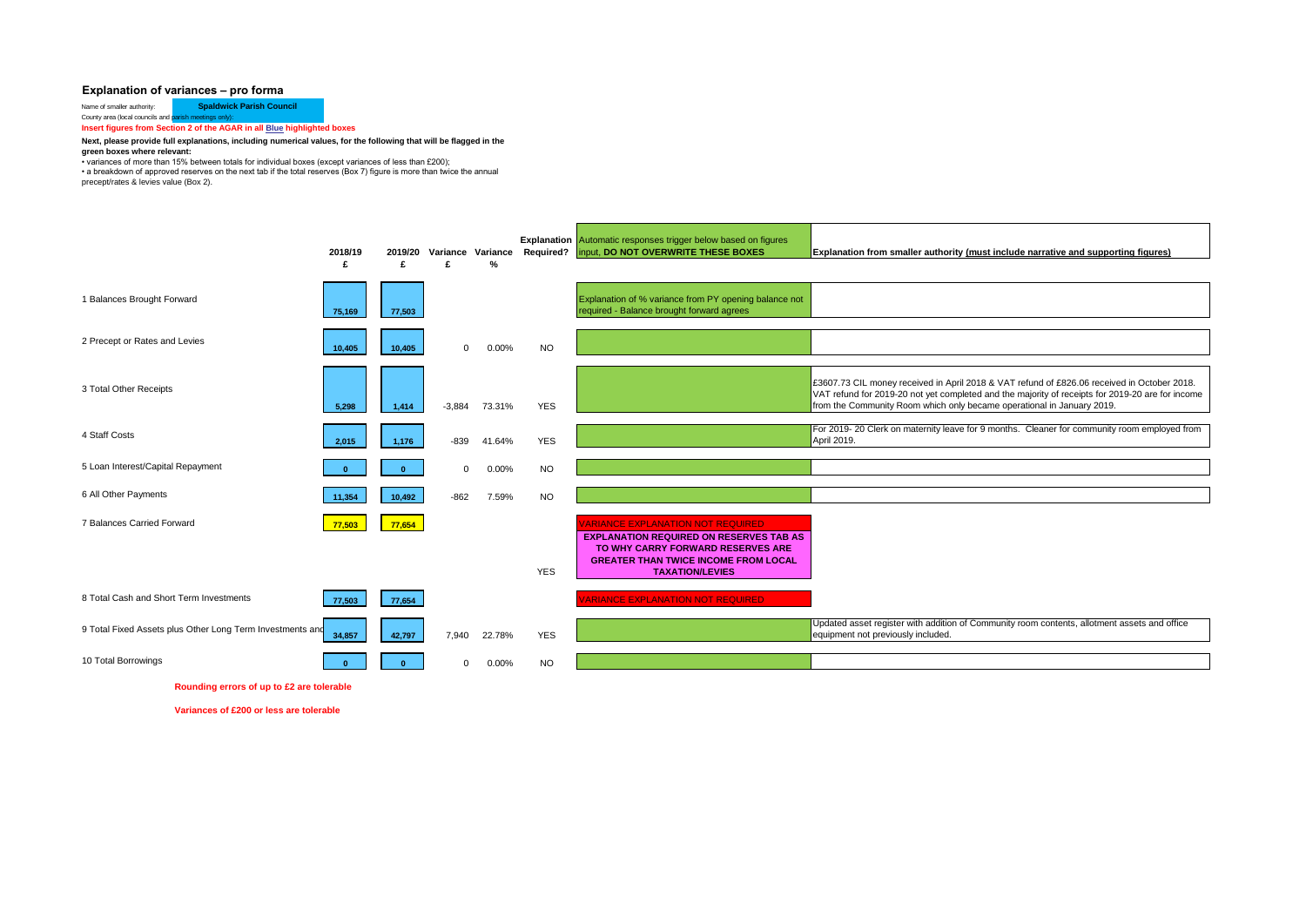## **Explanation of variances – pro forma**

Name of smaller authority: **Spaldwick Parish Council** County area (local councils and p

**Insert figures from Section 2 of the AGAR in all Blue highlighted boxes** 

## **Next, please provide full explanations, including numerical values, for the following that will be flagged in the**

**green boxes where relevant:**

• variances of more than 15% between totals for individual boxes (except variances of less than £200); • a breakdown of approved reserves on the next tab if the total reserves (Box 7) figure is more than twice the annual precept/rates & levies value (Box 2).

|                                                           | 2018/19<br>£ | 2019/20<br>£ | Variance Variance<br>£ | %      | <b>Required?</b> | <b>Explanation</b> Automatic responses trigger below based on figures<br>input, DO NOT OVERWRITE THESE BOXES                                                                                             | Explanation from smaller authority (must include narrative and supporting figures)                                                                                                                                                                                        |
|-----------------------------------------------------------|--------------|--------------|------------------------|--------|------------------|----------------------------------------------------------------------------------------------------------------------------------------------------------------------------------------------------------|---------------------------------------------------------------------------------------------------------------------------------------------------------------------------------------------------------------------------------------------------------------------------|
| 1 Balances Brought Forward                                | 75,169       | 77,503       |                        |        |                  | Explanation of % variance from PY opening balance not<br>required - Balance brought forward agrees                                                                                                       |                                                                                                                                                                                                                                                                           |
| 2 Precept or Rates and Levies                             | 10,405       | 10,405       | $\mathbf 0$            | 0.00%  | <b>NO</b>        |                                                                                                                                                                                                          |                                                                                                                                                                                                                                                                           |
| 3 Total Other Receipts                                    | 5,298        | 1,414        | $-3.884$               | 73.31% | <b>YES</b>       |                                                                                                                                                                                                          | £3607.73 CIL money received in April 2018 & VAT refund of £826.06 received in October 2018.<br>VAT refund for 2019-20 not yet completed and the majority of receipts for 2019-20 are for income<br>from the Community Room which only became operational in January 2019. |
| 4 Staff Costs                                             | 2,015        | 1,176        | $-839$                 | 41.64% | <b>YES</b>       |                                                                                                                                                                                                          | For 2019-20 Clerk on maternity leave for 9 months. Cleaner for community room employed from<br>April 2019.                                                                                                                                                                |
| 5 Loan Interest/Capital Repayment                         |              | $\mathbf{0}$ | $\mathbf 0$            | 0.00%  | <b>NO</b>        |                                                                                                                                                                                                          |                                                                                                                                                                                                                                                                           |
| 6 All Other Payments                                      | 11,354       | 10,492       | $-862$                 | 7.59%  | <b>NO</b>        |                                                                                                                                                                                                          |                                                                                                                                                                                                                                                                           |
| 7 Balances Carried Forward                                | 77,503       | 77,654       |                        |        | <b>YES</b>       | <b>VARIANCE EXPLANATION NOT REQUIRED</b><br><b>EXPLANATION REQUIRED ON RESERVES TAB AS</b><br>TO WHY CARRY FORWARD RESERVES ARE<br><b>GREATER THAN TWICE INCOME FROM LOCAL</b><br><b>TAXATION/LEVIES</b> |                                                                                                                                                                                                                                                                           |
| 8 Total Cash and Short Term Investments                   | 77,503       | 77,654       |                        |        |                  | <b>ARIANCE EXPLANATION NOT REQUIRED</b>                                                                                                                                                                  |                                                                                                                                                                                                                                                                           |
| 9 Total Fixed Assets plus Other Long Term Investments and | 34,857       | 42,797       | 7,940                  | 22.78% | <b>YES</b>       |                                                                                                                                                                                                          | Updated asset register with addition of Community room contents, allotment assets and office<br>equipment not previously included.                                                                                                                                        |
| 10 Total Borrowings                                       |              |              | $\Omega$               | 0.00%  | NO.              |                                                                                                                                                                                                          |                                                                                                                                                                                                                                                                           |

**Rounding errors of up to £2 are tolerable**

**Variances of £200 or less are tolerable**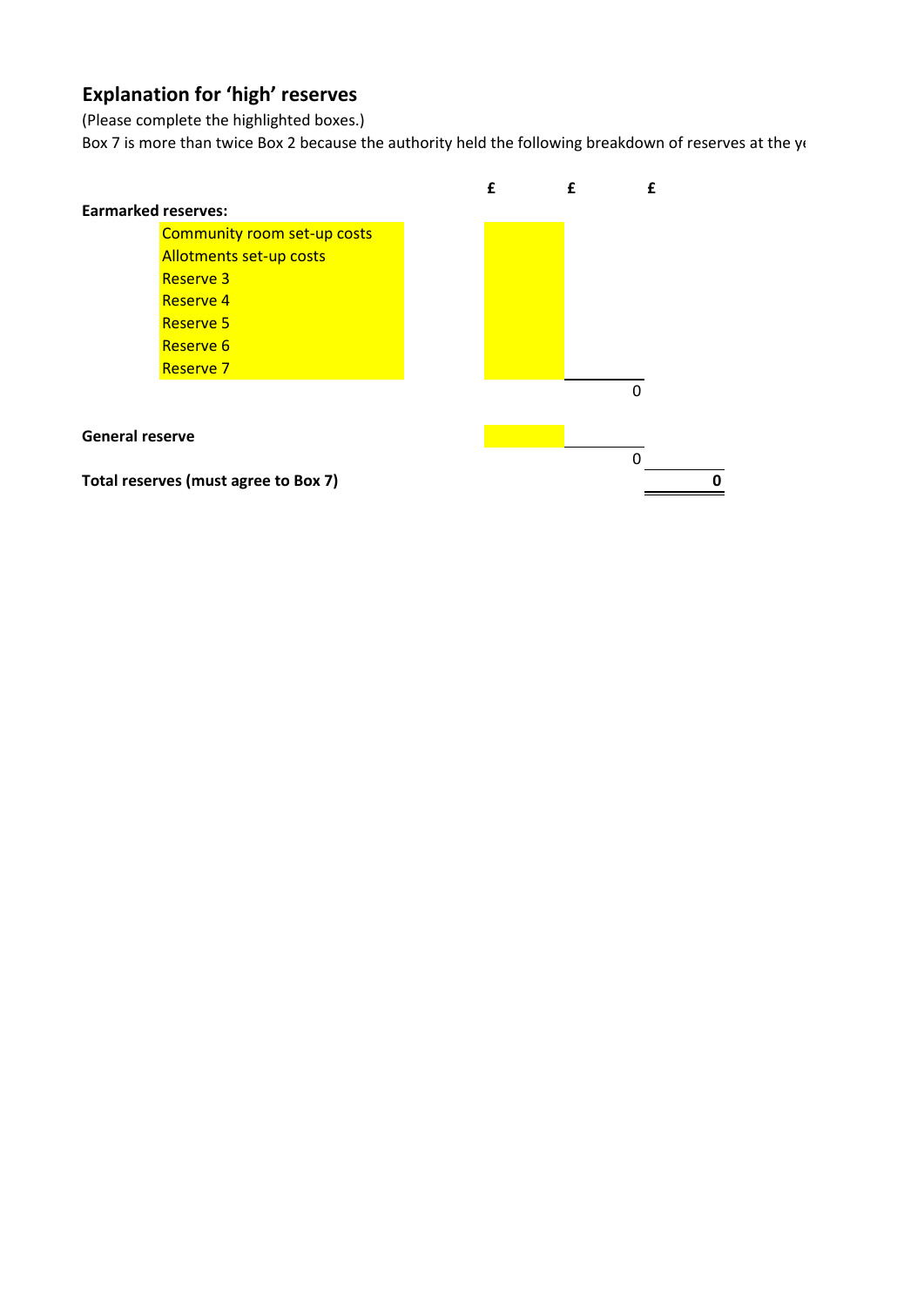## **Explanation for 'high' reserves**

(Please complete the highlighted boxes.)

Box 7 is more than twice Box 2 because the authority held the following breakdown of reserves at the year